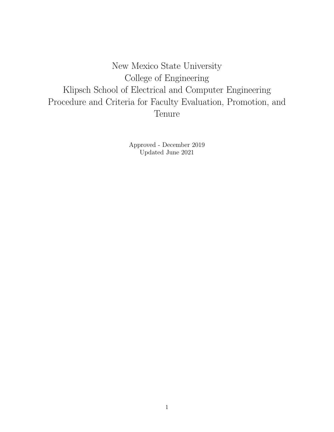New Mexico State University College of Engineering Klipsch School of Electrical and Computer Engineering Procedure and Criteria for Faculty Evaluation, Promotion, and Tenure

> Approved - December 2019 Updated June 2021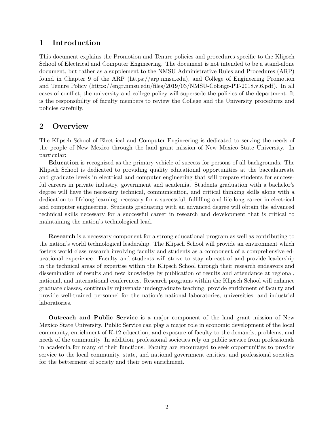## 1 Introduction

This document explains the Promotion and Tenure policies and procedures specific to the Klipsch School of Electrical and Computer Engineering. The document is not intended to be a stand-alone document, but rather as a supplement to the NMSU Administrative Rules and Procedures (ARP) found in Chapter 9 of the ARP (https://arp.nmsu.edu), and College of Engineering Promotion and Tenure Policy (https://engr.nmsu.edu/files/2019/03/NMSU-CoEngr-PT-2018.v.6.pdf). In all cases of conflict, the university and college policy will supersede the policies of the department. It is the responsibility of faculty members to review the College and the University procedures and policies carefully.

## 2 Overview

The Klipsch School of Electrical and Computer Engineering is dedicated to serving the needs of the people of New Mexico through the land grant mission of New Mexico State University. In particular:

Education is recognized as the primary vehicle of success for persons of all backgrounds. The Klipsch School is dedicated to providing quality educational opportunities at the baccalaureate and graduate levels in electrical and computer engineering that will prepare students for successful careers in private industry, government and academia. Students graduation with a bachelor's degree will have the necessary technical, communication, and critical thinking skills along with a dedication to lifelong learning necessary for a successful, fulfilling and life-long career in electrical and computer engineering. Students graduating with an advanced degree will obtain the advanced technical skills necessary for a successful career in research and development that is critical to maintaining the nation's technological lead.

Research is a necessary component for a strong educational program as well as contributing to the nation's world technological leadership. The Klipsch School will provide an environment which fosters world class research involving faculty and students as a component of a comprehensive educational experience. Faculty and students will strive to stay abreast of and provide leadership in the technical areas of expertise within the Klipsch School through their research endeavors and dissemination of results and new knowledge by publication of results and attendance at regional, national, and international conferences. Research programs within the Klipsch School will enhance graduate classes, continually rejuvenate undergraduate teaching, provide enrichment of faculty and provide well-trained personnel for the nation's national laboratories, universities, and industrial laboratories.

Outreach and Public Service is a major component of the land grant mission of New Mexico State University, Public Service can play a major role in economic development of the local community, enrichment of K-12 education, and exposure of faculty to the demands, problems, and needs of the community. In addition, professional societies rely on public service from professionals in academia for many of their functions. Faculty are encouraged to seek opportunities to provide service to the local community, state, and national government entities, and professional societies for the betterment of society and their own enrichment.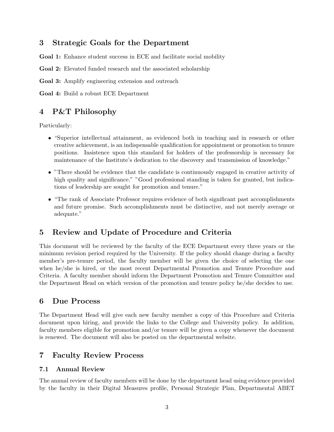# 3 Strategic Goals for the Department

Goal 1: Enhance student success in ECE and facilitate social mobility

Goal 2: Elevated funded research and the associated scholarship

Goal 3: Amplify engineering extension and outreach

Goal 4: Build a robust ECE Department

# 4 P&T Philosophy

Particularly:

- "Superior intellectual attainment, as evidenced both in teaching and in research or other creative achievement, is an indispensable qualification for appointment or promotion to tenure positions. Insistence upon this standard for holders of the professorship is necessary for maintenance of the Institute's dedication to the discovery and transmission of knowledge."
- "There should be evidence that the candidate is continuously engaged in creative activity of high quality and significance." "Good professional standing is taken for granted, but indications of leadership are sought for promotion and tenure."
- "The rank of Associate Professor requires evidence of both significant past accomplishments and future promise. Such accomplishments must be distinctive, and not merely average or adequate."

# 5 Review and Update of Procedure and Criteria

This document will be reviewed by the faculty of the ECE Department every three years or the minimum revision period required by the University. If the policy should change during a faculty member's pre-tenure period, the faculty member will be given the choice of selecting the one when he/she is hired, or the most recent Departmental Promotion and Tenure Procedure and Criteria. A faculty member should inform the Department Promotion and Tenure Committee and the Department Head on which version of the promotion and tenure policy he/she decides to use.

## 6 Due Process

The Department Head will give each new faculty member a copy of this Procedure and Criteria document upon hiring, and provide the links to the College and University policy. In addition, faculty members eligible for promotion and/or tenure will be given a copy whenever the document is renewed. The document will also be posted on the departmental website.

## 7 Faculty Review Process

#### 7.1 Annual Review

The annual review of faculty members will be done by the department head using evidence provided by the faculty in their Digital Measures profile, Personal Strategic Plan, Departmental ABET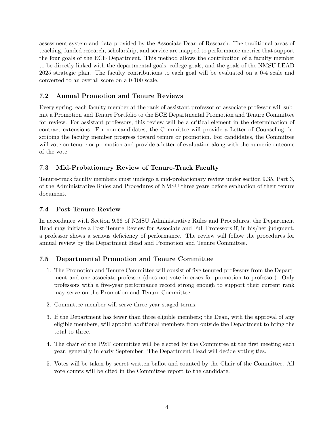assessment system and data provided by the Associate Dean of Research. The traditional areas of teaching, funded research, scholarship, and service are mapped to performance metrics that support the four goals of the ECE Department. This method allows the contribution of a faculty member to be directly linked with the departmental goals, college goals, and the goals of the NMSU LEAD 2025 strategic plan. The faculty contributions to each goal will be evaluated on a 0-4 scale and converted to an overall score on a 0-100 scale.

## 7.2 Annual Promotion and Tenure Reviews

Every spring, each faculty member at the rank of assistant professor or associate professor will submit a Promotion and Tenure Portfolio to the ECE Departmental Promotion and Tenure Committee for review. For assistant professors, this review will be a critical element in the determination of contract extensions. For non-candidates, the Committee will provide a Letter of Counseling describing the faculty member progress toward tenure or promotion. For candidates, the Committee will vote on tenure or promotion and provide a letter of evaluation along with the numeric outcome of the vote.

### 7.3 Mid-Probationary Review of Tenure-Track Faculty

Tenure-track faculty members must undergo a mid-probationary review under section 9.35, Part 3, of the Administrative Rules and Procedures of NMSU three years before evaluation of their tenure document.

#### 7.4 Post-Tenure Review

In accordance with Section 9.36 of NMSU Administrative Rules and Procedures, the Department Head may initiate a Post-Tenure Review for Associate and Full Professors if, in his/her judgment, a professor shows a serious deficiency of performance. The review will follow the procedures for annual review by the Department Head and Promotion and Tenure Committee.

#### 7.5 Departmental Promotion and Tenure Committee

- 1. The Promotion and Tenure Committee will consist of five tenured professors from the Department and one associate professor (does not vote in cases for promotion to professor). Only professors with a five-year performance record strong enough to support their current rank may serve on the Promotion and Tenure Committee.
- 2. Committee member will serve three year staged terms.
- 3. If the Department has fewer than three eligible members; the Dean, with the approval of any eligible members, will appoint additional members from outside the Department to bring the total to three.
- 4. The chair of the P&T committee will be elected by the Committee at the first meeting each year, generally in early September. The Department Head will decide voting ties.
- 5. Votes will be taken by secret written ballot and counted by the Chair of the Committee. All vote counts will be cited in the Committee report to the candidate.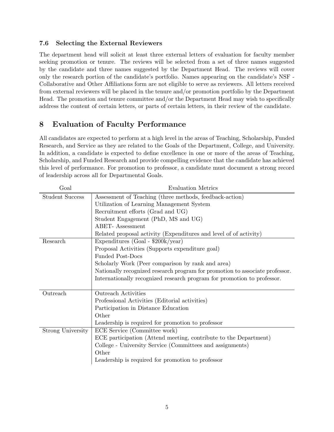#### 7.6 Selecting the External Reviewers

The department head will solicit at least three external letters of evaluation for faculty member seeking promotion or tenure. The reviews will be selected from a set of three names suggested by the candidate and three names suggested by the Department Head. The reviews will cover only the research portion of the candidate's portfolio. Names appearing on the candidate's NSF - Collaborative and Other Affiliations form are not eligible to serve as reviewers. All letters received from external reviewers will be placed in the tenure and/or promotion portfolio by the Department Head. The promotion and tenure committee and/or the Department Head may wish to specifically address the content of certain letters, or parts of certain letters, in their review of the candidate.

# 8 Evaluation of Faculty Performance

All candidates are expected to perform at a high level in the areas of Teaching, Scholarship, Funded Research, and Service as they are related to the Goals of the Department, College, and University. In addition, a candidate is expected to define excellence in one or more of the areas of Teaching, Scholarship, and Funded Research and provide compelling evidence that the candidate has achieved this level of performance. For promotion to professor, a candidate must document a strong record of leadership across all for Departmental Goals.

| Goal                     | <b>Evaluation Metrics</b>                                                    |
|--------------------------|------------------------------------------------------------------------------|
| <b>Student Success</b>   | Assessment of Teaching (three methods, feedback-action)                      |
|                          | Utilization of Learning Management System                                    |
|                          | Recruitment efforts (Grad and UG)                                            |
|                          | Student Engagement (PhD, MS and UG)                                          |
|                          | <b>ABET-</b> Assessment                                                      |
|                          | Related proposal activity (Expenditures and level of of activity)            |
| Research                 | Expenditures (Goal - $$200k/year$ )                                          |
|                          | Proposal Activities (Supports expenditure goal)                              |
|                          | <b>Funded Post-Docs</b>                                                      |
|                          | Scholarly Work (Peer comparison by rank and area)                            |
|                          | Nationally recognized research program for promotion to associate professor. |
|                          | Internationally recognized research program for promotion to professor.      |
|                          |                                                                              |
| Outreach                 | <b>Outreach Activities</b>                                                   |
|                          | Professional Activities (Editorial activities)                               |
|                          | Participation in Distance Education                                          |
|                          | Other                                                                        |
|                          | Leadership is required for promotion to professor                            |
| <b>Strong University</b> | ECE Service (Committee work)                                                 |
|                          | ECE participation (Attend meeting, contribute to the Department)             |
|                          | College - University Service (Committees and assignments)                    |
|                          | Other                                                                        |
|                          | Leadership is required for promotion to professor                            |